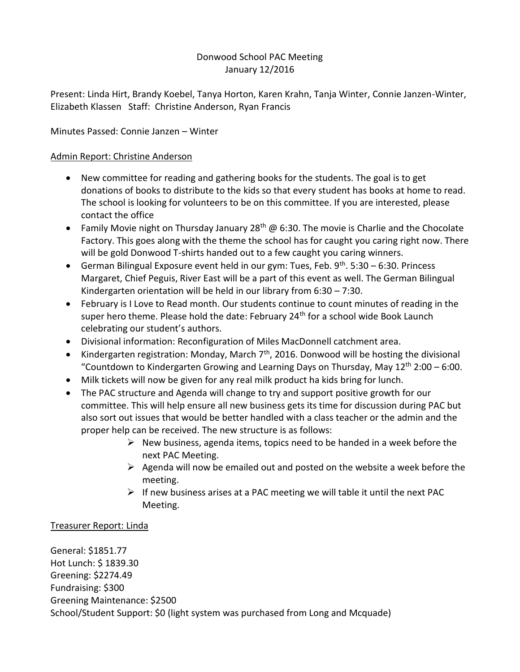# Donwood School PAC Meeting January 12/2016

Present: Linda Hirt, Brandy Koebel, Tanya Horton, Karen Krahn, Tanja Winter, Connie Janzen-Winter, Elizabeth Klassen Staff: Christine Anderson, Ryan Francis

Minutes Passed: Connie Janzen – Winter

# Admin Report: Christine Anderson

- New committee for reading and gathering books for the students. The goal is to get donations of books to distribute to the kids so that every student has books at home to read. The school is looking for volunteers to be on this committee. If you are interested, please contact the office
- Family Movie night on Thursday January 28<sup>th</sup> @ 6:30. The movie is Charlie and the Chocolate Factory. This goes along with the theme the school has for caught you caring right now. There will be gold Donwood T-shirts handed out to a few caught you caring winners.
- German Bilingual Exposure event held in our gym: Tues, Feb.  $9^{th}$ . 5:30 6:30. Princess Margaret, Chief Peguis, River East will be a part of this event as well. The German Bilingual Kindergarten orientation will be held in our library from 6:30 – 7:30.
- February is I Love to Read month. Our students continue to count minutes of reading in the super hero theme. Please hold the date: February  $24<sup>th</sup>$  for a school wide Book Launch celebrating our student's authors.
- Divisional information: Reconfiguration of Miles MacDonnell catchment area.
- Kindergarten registration: Monday, March  $7<sup>th</sup>$ , 2016. Donwood will be hosting the divisional "Countdown to Kindergarten Growing and Learning Days on Thursday, May  $12<sup>th</sup> 2:00 - 6:00$ .
- Milk tickets will now be given for any real milk product ha kids bring for lunch.
- The PAC structure and Agenda will change to try and support positive growth for our committee. This will help ensure all new business gets its time for discussion during PAC but also sort out issues that would be better handled with a class teacher or the admin and the proper help can be received. The new structure is as follows:
	- $\triangleright$  New business, agenda items, topics need to be handed in a week before the next PAC Meeting.
	- $\triangleright$  Agenda will now be emailed out and posted on the website a week before the meeting.
	- $\triangleright$  If new business arises at a PAC meeting we will table it until the next PAC Meeting.

# Treasurer Report: Linda

General: \$1851.77 Hot Lunch: \$ 1839.30 Greening: \$2274.49 Fundraising: \$300 Greening Maintenance: \$2500 School/Student Support: \$0 (light system was purchased from Long and Mcquade)